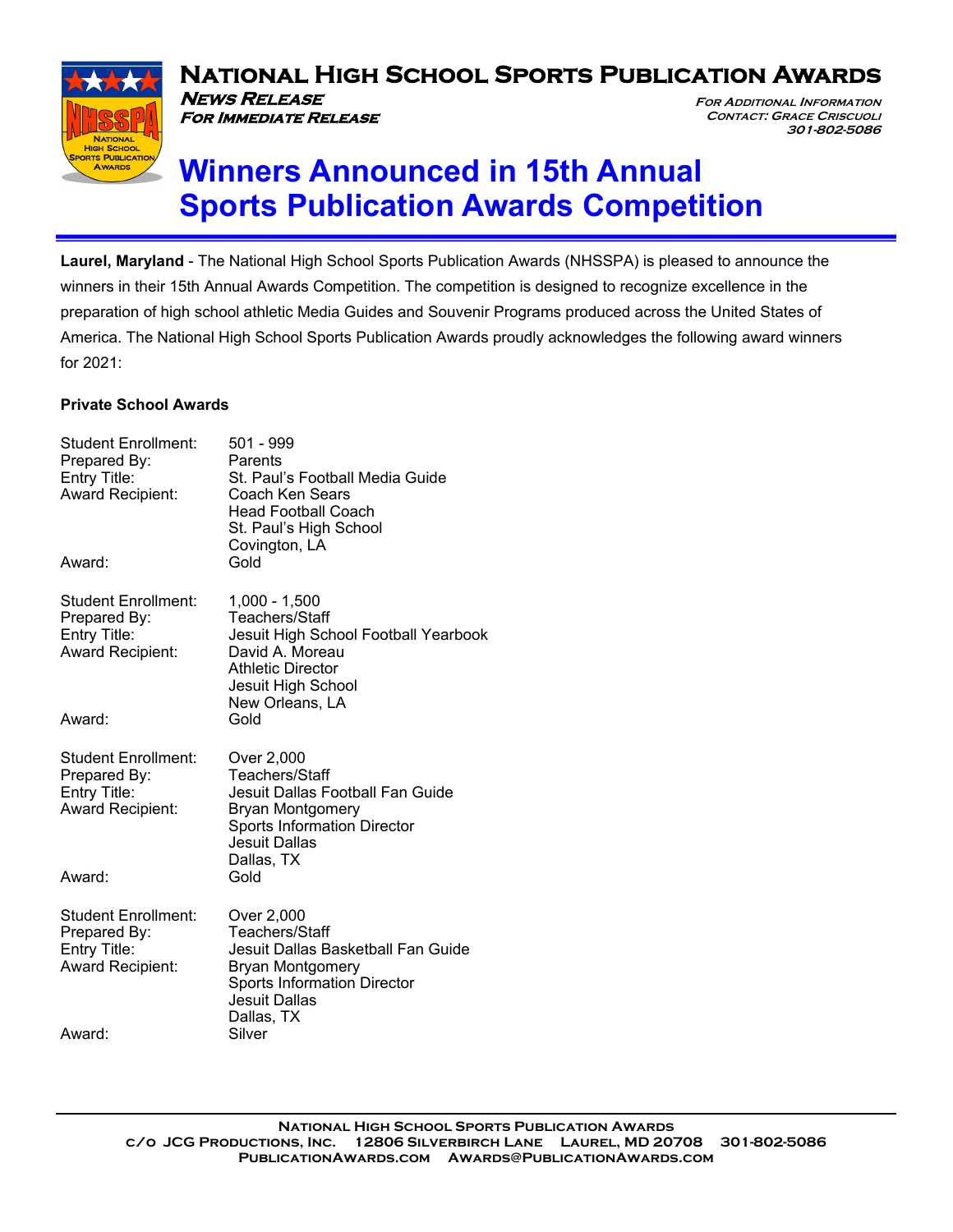

**NEWS RELEASE** 

**For Immediate Release**

# **National High School Sports Publication Awards**

**FOR ADDITIONAL INFORMATION CONTACT: GRACE CRISCUOLI 301-802-5086** 

# **Winners Announced in 15th Annual Sports Publication Awards Competition**

**Laurel, Maryland** - The National High School Sports Publication Awards (NHSSPA) is pleased to announce the winners in their 15th Annual Awards Competition. The competition is designed to recognize excellence in the preparation of high school athletic Media Guides and Souvenir Programs produced across the United States of America. The National High School Sports Publication Awards proudly acknowledges the following award winners for 2021:

#### **Private School Awards**

| <b>Student Enrollment:</b><br>Prepared By:<br>Entry Title:<br><b>Award Recipient:</b><br>Award: | 501 - 999<br>Parents<br>St. Paul's Football Media Guide<br>Coach Ken Sears<br>Head Football Coach<br>St. Paul's High School<br>Covington, LA<br>Gold                      |
|-------------------------------------------------------------------------------------------------|---------------------------------------------------------------------------------------------------------------------------------------------------------------------------|
| <b>Student Enrollment:</b><br>Prepared By:<br>Entry Title:<br><b>Award Recipient:</b><br>Award: | $1,000 - 1,500$<br>Teachers/Staff<br>Jesuit High School Football Yearbook<br>David A. Moreau<br><b>Athletic Director</b><br>Jesuit High School<br>New Orleans, LA<br>Gold |
|                                                                                                 |                                                                                                                                                                           |
| <b>Student Enrollment:</b><br>Prepared By:<br>Entry Title:<br><b>Award Recipient:</b>           | Over 2,000<br>Teachers/Staff<br>Jesuit Dallas Football Fan Guide<br><b>Bryan Montgomery</b><br><b>Sports Information Director</b><br>Jesuit Dallas<br>Dallas, TX          |
| Award:                                                                                          | Gold                                                                                                                                                                      |
| <b>Student Enrollment:</b><br>Prepared By:<br>Entry Title:<br><b>Award Recipient:</b>           | Over 2,000<br>Teachers/Staff<br>Jesuit Dallas Basketball Fan Guide<br>Bryan Montgomery<br><b>Sports Information Director</b><br>Jesuit Dallas<br>Dallas, TX               |
| Award:                                                                                          | Silver                                                                                                                                                                    |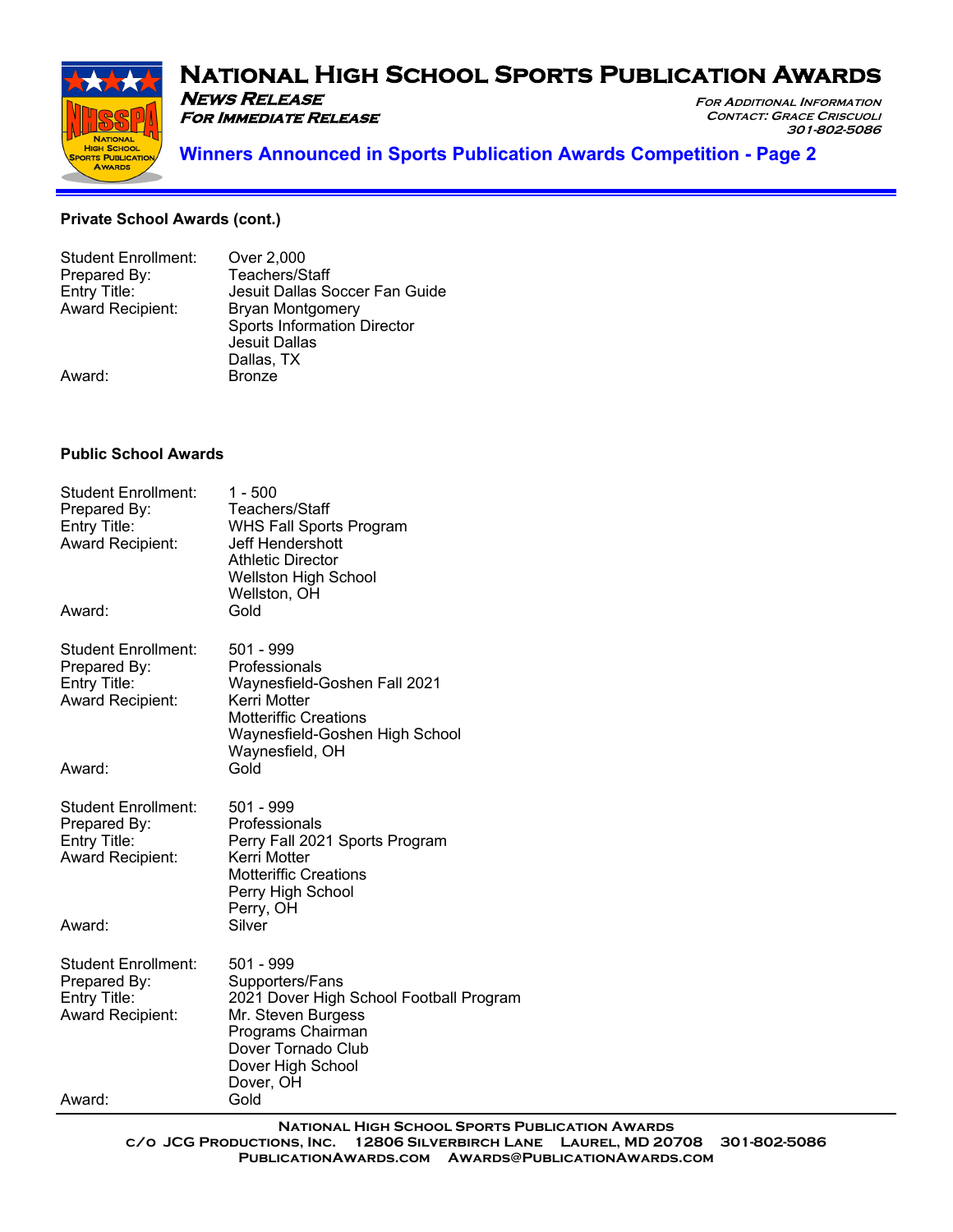# **National High School Sports Publication Awards NEWS RELEASE**

**FOR ADDITIONAL INFORMATION CONTACT: GRACE CRISCUOLI**



**301-802-5086 Winners Announced in Sports Publication Awards Competition - Page 2**

#### **Private School Awards (cont.)**

| <b>Student Enrollment:</b> | Over 2,000                         |
|----------------------------|------------------------------------|
| Prepared By:               | Teachers/Staff                     |
| Entry Title:               | Jesuit Dallas Soccer Fan Guide     |
| <b>Award Recipient:</b>    | Bryan Montgomery                   |
|                            | <b>Sports Information Director</b> |
|                            | Jesuit Dallas                      |
|                            | Dallas, TX                         |
| Award:                     | <b>Bronze</b>                      |
|                            |                                    |

**For Immediate Release**

#### **Public School Awards**

| <b>Student Enrollment:</b><br>Prepared By:<br>Entry Title:<br>Award Recipient:<br>Award: | $1 - 500$<br>Teachers/Staff<br><b>WHS Fall Sports Program</b><br>Jeff Hendershott<br><b>Athletic Director</b><br><b>Wellston High School</b><br>Wellston, OH<br>Gold |  |
|------------------------------------------------------------------------------------------|----------------------------------------------------------------------------------------------------------------------------------------------------------------------|--|
|                                                                                          |                                                                                                                                                                      |  |
| <b>Student Enrollment:</b><br>Prepared By:                                               | 501 - 999<br>Professionals                                                                                                                                           |  |
| Entry Title:                                                                             | Waynesfield-Goshen Fall 2021                                                                                                                                         |  |
| Award Recipient:                                                                         | Kerri Motter                                                                                                                                                         |  |
|                                                                                          | <b>Motteriffic Creations</b><br>Waynesfield-Goshen High School                                                                                                       |  |
|                                                                                          | Waynesfield, OH                                                                                                                                                      |  |
| Award:                                                                                   | Gold                                                                                                                                                                 |  |
| <b>Student Enrollment:</b><br>Prepared By:                                               | 501 - 999<br>Professionals                                                                                                                                           |  |
| Entry Title:<br>Award Recipient:                                                         | Perry Fall 2021 Sports Program<br>Kerri Motter<br><b>Motteriffic Creations</b><br>Perry High School                                                                  |  |
|                                                                                          | Perry, OH                                                                                                                                                            |  |
| Award:                                                                                   | Silver                                                                                                                                                               |  |
| <b>Student Enrollment:</b>                                                               | 501 - 999                                                                                                                                                            |  |
| Prepared By:<br>Entry Title:                                                             | Supporters/Fans<br>2021 Dover High School Football Program                                                                                                           |  |
| <b>Award Recipient:</b>                                                                  | Mr. Steven Burgess                                                                                                                                                   |  |
|                                                                                          | Programs Chairman                                                                                                                                                    |  |
|                                                                                          | Dover Tornado Club<br>Dover High School                                                                                                                              |  |
|                                                                                          | Dover, OH                                                                                                                                                            |  |
| Award:                                                                                   | Gold                                                                                                                                                                 |  |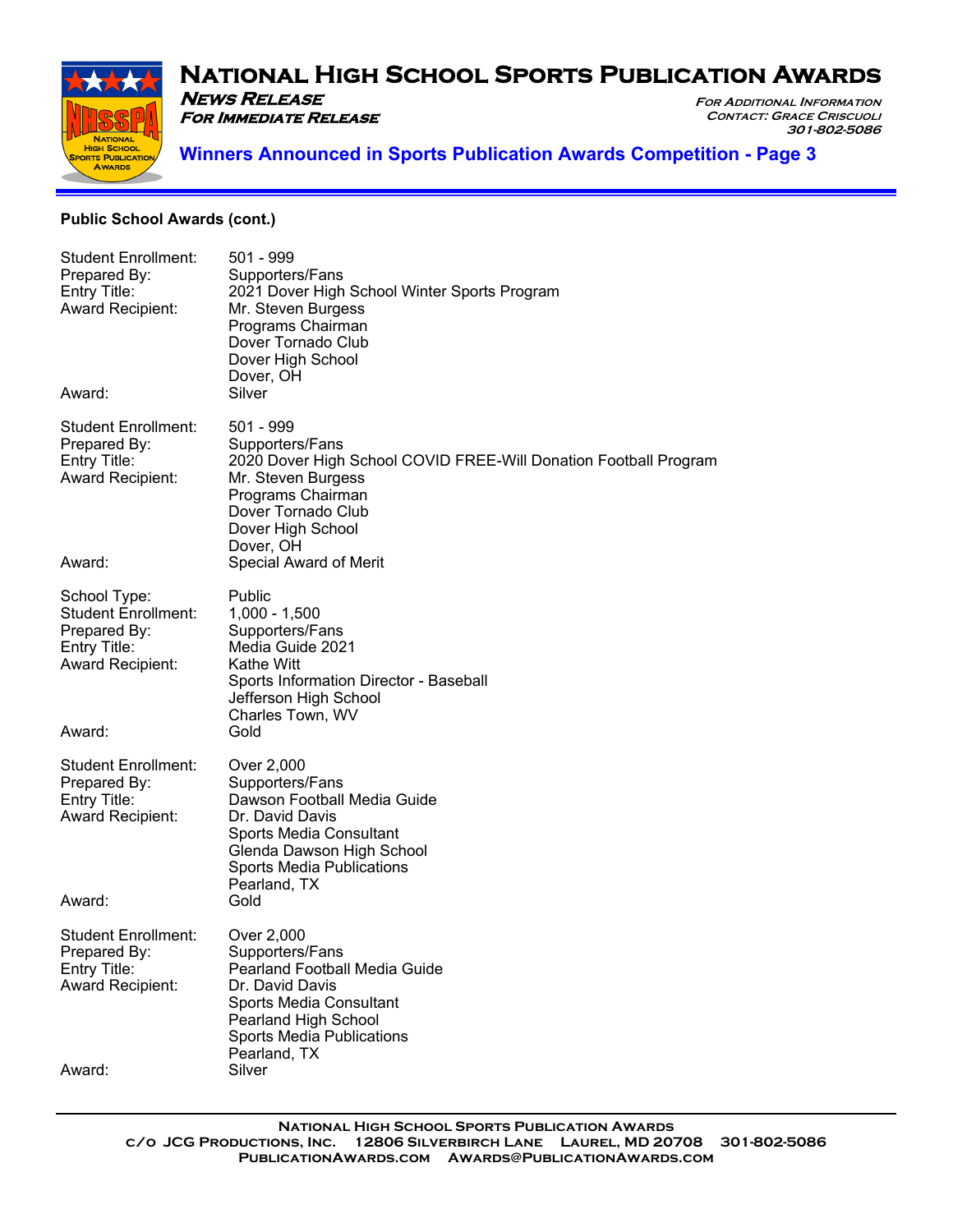

**FOR ADDITIONAL INFORMATION CONTACT: GRACE CRISCUOLI**

**301-802-5086** 



# **Winners Announced in Sports Publication Awards Competition - Page 3**

#### **Public School Awards (cont.)**

**For Immediate Release**

| <b>Student Enrollment:</b><br>Prepared By:<br>Entry Title:<br><b>Award Recipient:</b>                 | 501 - 999<br>Supporters/Fans<br>2021 Dover High School Winter Sports Program<br>Mr. Steven Burgess<br>Programs Chairman<br>Dover Tornado Club<br>Dover High School<br>Dover, OH                        |
|-------------------------------------------------------------------------------------------------------|--------------------------------------------------------------------------------------------------------------------------------------------------------------------------------------------------------|
| Award:                                                                                                | Silver                                                                                                                                                                                                 |
| <b>Student Enrollment:</b><br>Prepared By:<br>Entry Title:<br><b>Award Recipient:</b>                 | 501 - 999<br>Supporters/Fans<br>2020 Dover High School COVID FREE-Will Donation Football Program<br>Mr. Steven Burgess<br>Programs Chairman<br>Dover Tornado Club<br>Dover High School<br>Dover, OH    |
| Award:                                                                                                | Special Award of Merit                                                                                                                                                                                 |
| School Type:<br><b>Student Enrollment:</b><br>Prepared By:<br>Entry Title:<br><b>Award Recipient:</b> | Public<br>$1,000 - 1,500$<br>Supporters/Fans<br>Media Guide 2021<br>Kathe Witt<br>Sports Information Director - Baseball<br>Jefferson High School<br>Charles Town, WV                                  |
| Award:                                                                                                | Gold                                                                                                                                                                                                   |
| <b>Student Enrollment:</b><br>Prepared By:<br>Entry Title:<br><b>Award Recipient:</b>                 | Over 2,000<br>Supporters/Fans<br>Dawson Football Media Guide<br>Dr. David Davis<br>Sports Media Consultant<br>Glenda Dawson High School<br><b>Sports Media Publications</b><br>Pearland, TX            |
| Award:                                                                                                | Gold                                                                                                                                                                                                   |
| Student Enrollment:<br>Prepared By:<br>Entry Title:<br><b>Award Recipient:</b>                        | Over 2,000<br>Supporters/Fans<br><b>Pearland Football Media Guide</b><br>Dr. David Davis<br><b>Sports Media Consultant</b><br>Pearland High School<br><b>Sports Media Publications</b><br>Pearland, TX |
| Award:                                                                                                | Silver                                                                                                                                                                                                 |